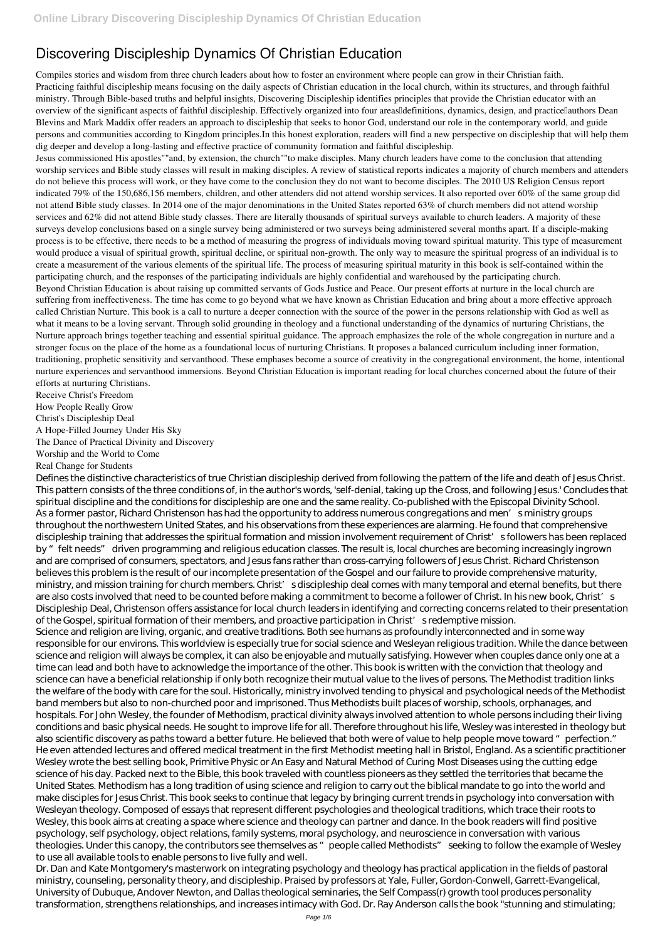## **Discovering Discipleship Dynamics Of Christian Education**

Compiles stories and wisdom from three church leaders about how to foster an environment where people can grow in their Christian faith. Practicing faithful discipleship means focusing on the daily aspects of Christian education in the local church, within its structures, and through faithful ministry. Through Bible-based truths and helpful insights, Discovering Discipleship identifies principles that provide the Christian educator with an overview of the significant aspects of faithful discipleship. Effectively organized into four areas definitions, dynamics, design, and practice authors Dean Blevins and Mark Maddix offer readers an approach to discipleship that seeks to honor God, understand our role in the contemporary world, and guide persons and communities according to Kingdom principles.In this honest exploration, readers will find a new perspective on discipleship that will help them dig deeper and develop a long-lasting and effective practice of community formation and faithful discipleship.

Jesus commissioned His apostles""and, by extension, the church""to make disciples. Many church leaders have come to the conclusion that attending worship services and Bible study classes will result in making disciples. A review of statistical reports indicates a majority of church members and attenders do not believe this process will work, or they have come to the conclusion they do not want to become disciples. The 2010 US Religion Census report indicated 79% of the 150,686,156 members, children, and other attenders did not attend worship services. It also reported over 60% of the same group did not attend Bible study classes. In 2014 one of the major denominations in the United States reported 63% of church members did not attend worship services and 62% did not attend Bible study classes. There are literally thousands of spiritual surveys available to church leaders. A majority of these surveys develop conclusions based on a single survey being administered or two surveys being administered several months apart. If a disciple-making process is to be effective, there needs to be a method of measuring the progress of individuals moving toward spiritual maturity. This type of measurement would produce a visual of spiritual growth, spiritual decline, or spiritual non-growth. The only way to measure the spiritual progress of an individual is to create a measurement of the various elements of the spiritual life. The process of measuring spiritual maturity in this book is self-contained within the participating church, and the responses of the participating individuals are highly confidential and warehoused by the participating church. Beyond Christian Education is about raising up committed servants of Gods Justice and Peace. Our present efforts at nurture in the local church are suffering from ineffectiveness. The time has come to go beyond what we have known as Christian Education and bring about a more effective approach called Christian Nurture. This book is a call to nurture a deeper connection with the source of the power in the persons relationship with God as well as what it means to be a loving servant. Through solid grounding in theology and a functional understanding of the dynamics of nurturing Christians, the Nurture approach brings together teaching and essential spiritual guidance. The approach emphasizes the role of the whole congregation in nurture and a stronger focus on the place of the home as a foundational locus of nurturing Christians. It proposes a balanced curriculum including inner formation, traditioning, prophetic sensitivity and servanthood. These emphases become a source of creativity in the congregational environment, the home, intentional nurture experiences and servanthood immersions. Beyond Christian Education is important reading for local churches concerned about the future of their

efforts at nurturing Christians. Receive Christ's Freedom How People Really Grow Christ's Discipleship Deal A Hope-Filled Journey Under His Sky The Dance of Practical Divinity and Discovery

Worship and the World to Come Real Change for Students

Defines the distinctive characteristics of true Christian discipleship derived from following the pattern of the life and death of Jesus Christ. This pattern consists of the three conditions of, in the author's words, 'self-denial, taking up the Cross, and following Jesus.' Concludes that spiritual discipline and the conditions for discipleship are one and the same reality. Co-published with the Episcopal Divinity School. As a former pastor, Richard Christenson has had the opportunity to address numerous congregations and men's ministry groups throughout the northwestern United States, and his observations from these experiences are alarming. He found that comprehensive discipleship training that addresses the spiritual formation and mission involvement requirement of Christ's followers has been replaced by " felt needs" driven programming and religious education classes. The result is, local churches are becoming increasingly ingrown and are comprised of consumers, spectators, and Jesus fans rather than cross-carrying followers of Jesus Christ. Richard Christenson believes this problem is the result of our incomplete presentation of the Gospel and our failure to provide comprehensive maturity, ministry, and mission training for church members. Christ' sdiscipleship deal comes with many temporal and eternal benefits, but there are also costs involved that need to be counted before making a commitment to become a follower of Christ. In his new book, Christ's Discipleship Deal, Christenson offers assistance for local church leaders in identifying and correcting concerns related to their presentation of the Gospel, spiritual formation of their members, and proactive participation in Christ's redemptive mission. Science and religion are living, organic, and creative traditions. Both see humans as profoundly interconnected and in some way responsible for our environs. This worldview is especially true for social science and Wesleyan religious tradition. While the dance between science and religion will always be complex, it can also be enjoyable and mutually satisfying. However when couples dance only one at a time can lead and both have to acknowledge the importance of the other. This book is written with the conviction that theology and science can have a beneficial relationship if only both recognize their mutual value to the lives of persons. The Methodist tradition links the welfare of the body with care for the soul. Historically, ministry involved tending to physical and psychological needs of the Methodist

band members but also to non-churched poor and imprisoned. Thus Methodists built places of worship, schools, orphanages, and

hospitals. For John Wesley, the founder of Methodism, practical divinity always involved attention to whole persons including their living conditions and basic physical needs. He sought to improve life for all. Therefore throughout his life, Wesley was interested in theology but also scientific discovery as paths toward a better future. He believed that both were of value to help people move toward "perfection." He even attended lectures and offered medical treatment in the first Methodist meeting hall in Bristol, England. As a scientific practitioner Wesley wrote the best selling book, Primitive Physic or An Easy and Natural Method of Curing Most Diseases using the cutting edge science of his day. Packed next to the Bible, this book traveled with countless pioneers as they settled the territories that became the United States. Methodism has a long tradition of using science and religion to carry out the biblical mandate to go into the world and make disciples for Jesus Christ. This book seeks to continue that legacy by bringing current trends in psychology into conversation with Wesleyan theology. Composed of essays that represent different psychologies and theological traditions, which trace their roots to Wesley, this book aims at creating a space where science and theology can partner and dance. In the book readers will find positive psychology, self psychology, object relations, family systems, moral psychology, and neuroscience in conversation with various theologies. Under this canopy, the contributors see themselves as "people called Methodists" seeking to follow the example of Wesley to use all available tools to enable persons to live fully and well.

Dr. Dan and Kate Montgomery's masterwork on integrating psychology and theology has practical application in the fields of pastoral ministry, counseling, personality theory, and discipleship. Praised by professors at Yale, Fuller, Gordon-Conwell, Garrett-Evangelical, University of Dubuque, Andover Newton, and Dallas theological seminaries, the Self Compass(r) growth tool produces personality transformation, strengthens relationships, and increases intimacy with God. Dr. Ray Anderson calls the book "stunning and stimulating;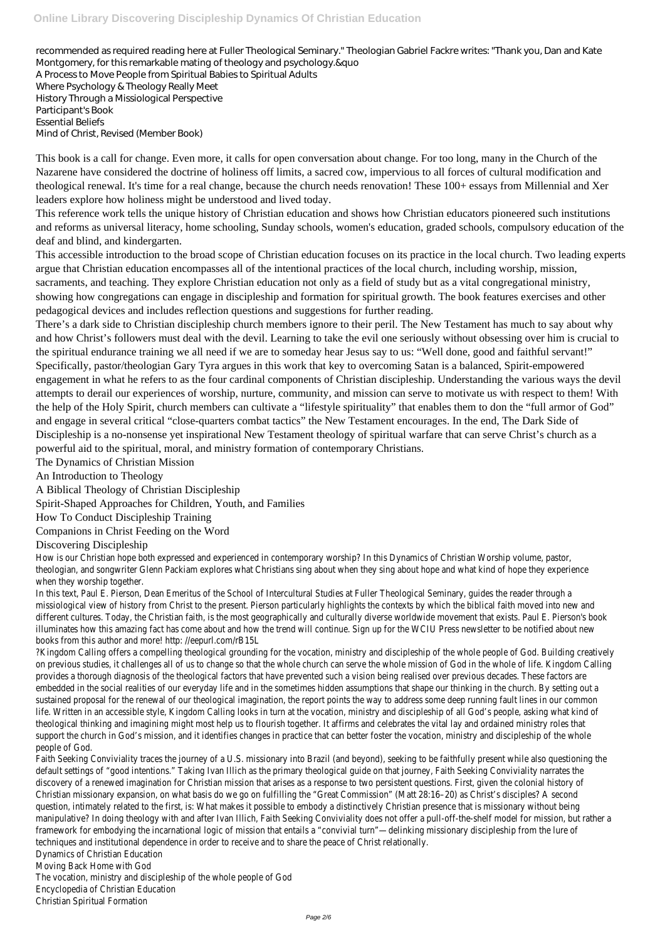## **Online Library Discovering Discipleship Dynamics Of Christian Education**

recommended as required reading here at Fuller Theological Seminary." Theologian Gabriel Fackre writes: "Thank you, Dan and Kate Montgomery, for this remarkable mating of theology and psychology.&quo A Process to Move People from Spiritual Babies to Spiritual Adults Where Psychology & Theology Really Meet History Through a Missiological Perspective Participant's Book Essential Beliefs Mind of Christ, Revised (Member Book)

This book is a call for change. Even more, it calls for open conversation about change. For too long, many in the Church of the Nazarene have considered the doctrine of holiness off limits, a sacred cow, impervious to all forces of cultural modification and theological renewal. It's time for a real change, because the church needs renovation! These 100+ essays from Millennial and Xer leaders explore how holiness might be understood and lived today.

This reference work tells the unique history of Christian education and shows how Christian educators pioneered such institutions and reforms as universal literacy, home schooling, Sunday schools, women's education, graded schools, compulsory education of the deaf and blind, and kindergarten.

This accessible introduction to the broad scope of Christian education focuses on its practice in the local church. Two leading experts argue that Christian education encompasses all of the intentional practices of the local church, including worship, mission, sacraments, and teaching. They explore Christian education not only as a field of study but as a vital congregational ministry, showing how congregations can engage in discipleship and formation for spiritual growth. The book features exercises and other pedagogical devices and includes reflection questions and suggestions for further reading.

How is our Christian hope both expressed and experienced in contemporary worship? In this Dynamics of Christian Worship volume, p theologian, and songwriter Glenn Packiam explores what Christians sing about when they sing about hope and what kind of hope the when they worship together.

In this text, Paul E. Pierson, Dean Emeritus of the School of Intercultural Studies at Fuller Theological Seminary, guides the reader through missiological view of history from Christ to the present. Pierson particularly highlights the contexts by which the biblical faith moved different cultures. Today, the Christian faith, is the most geographically and culturally diverse worldwide movement that exists. Paul E illuminates how this amazing fact has come about and how the trend will continue. Sign up for the WCIU Press newsletter to be notified about about new the about new newsletter to be notified about and how the trend will co books from this author and more! http: //eepurl.com/rB15L

There's a dark side to Christian discipleship church members ignore to their peril. The New Testament has much to say about why and how Christ's followers must deal with the devil. Learning to take the evil one seriously without obsessing over him is crucial to the spiritual endurance training we all need if we are to someday hear Jesus say to us: "Well done, good and faithful servant!" Specifically, pastor/theologian Gary Tyra argues in this work that key to overcoming Satan is a balanced, Spirit-empowered engagement in what he refers to as the four cardinal components of Christian discipleship. Understanding the various ways the devil attempts to derail our experiences of worship, nurture, community, and mission can serve to motivate us with respect to them! With the help of the Holy Spirit, church members can cultivate a "lifestyle spirituality" that enables them to don the "full armor of God" and engage in several critical "close-quarters combat tactics" the New Testament encourages. In the end, The Dark Side of

Discipleship is a no-nonsense yet inspirational New Testament theology of spiritual warfare that can serve Christ's church as a powerful aid to the spiritual, moral, and ministry formation of contemporary Christians.

The Dynamics of Christian Mission

An Introduction to Theology

A Biblical Theology of Christian Discipleship

Spirit-Shaped Approaches for Children, Youth, and Families

How To Conduct Discipleship Training

Companions in Christ Feeding on the Word

?Kingdom Calling offers a compelling theological grounding for the vocation, ministry and discipleship of the whole people of God. Build on previous studies, it challenges all of us to change so that the whole church can serve the whole mission of God in the whole of lif provides a thorough diagnosis of the theological factors that have prevented such a vision being realised over previous decades. Thes embedded in the social realities of our everyday life and in the sometimes hidden assumptions that shape our thinking in the church. sustained proposal for the renewal of our theological imagination, the report points the way to address some deep running fault lines life. Written in an accessible style, Kingdom Calling looks in turn at the vocation, ministry and discipleship of all God's people, asking w theological thinking and imagining might most help us to flourish together. It affirms and celebrates the vital lay and ordained ministry support the church in God's mission, and it identifies changes in practice that can better foster the vocation, ministry and discipleship people of God. Faith Seeking Conviviality traces the journey of a U.S. missionary into Brazil (and beyond), seeking to be faithfully present while also questioning the state of the faith of the also question of all the interpretationing default settings of "good intentions." Taking Ivan Illich as the primary theological guide on that journey, Faith Seeking Conviviality narr discovery of a renewed imagination for Christian mission that arises as a response to two persistent questions. First, given the colon Christian missionary expansion, on what basis do we go on fulfilling the "Great Commission" (Matt 28:16-20) as Christ's disciples? A question, intimately related to the first, is: What makes it possible to embody a distinctively Christian presence that is missionary wit manipulative? In doing theology with and after Ivan Illich, Faith Seeking Conviviality does not offer a pull-off-the-shelf model for mission, framework for embodying the incarnational logic of mission that entails a "convivial turn"—delinking missionary discipleship from the lu techniques and institutional dependence in order to receive and to share the peace of Christ relationally. Dynamics of Christian Education

Discovering Discipleship

Moving Back Home with God

The vocation, ministry and discipleship of the whole people of God

Encyclopedia of Christian Education

Christian Spiritual Formation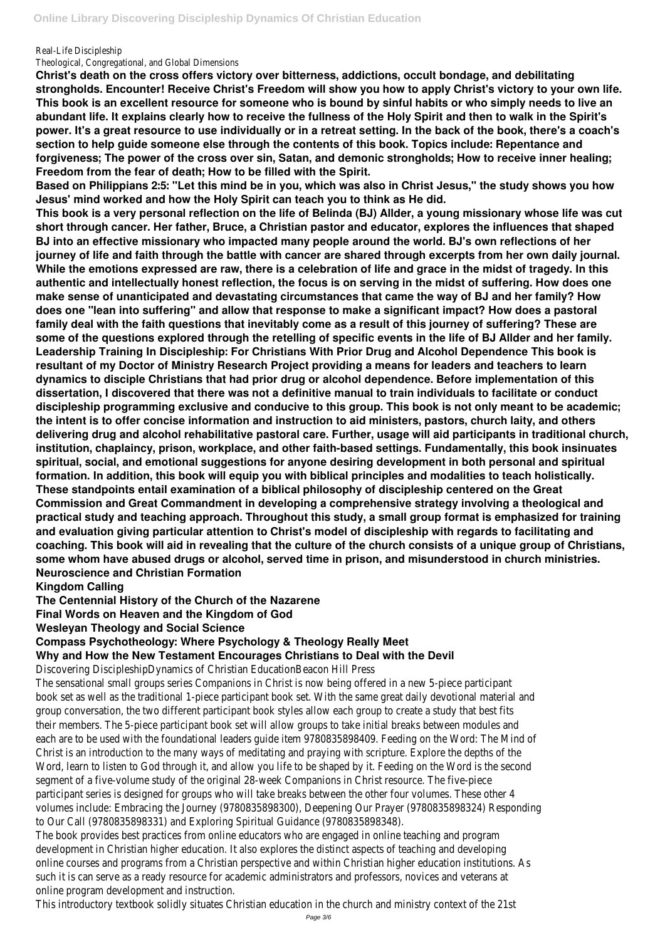Real-Life Discipleship

Theological, Congregational, and Global Dimensions

**Christ's death on the cross offers victory over bitterness, addictions, occult bondage, and debilitating strongholds. Encounter! Receive Christ's Freedom will show you how to apply Christ's victory to your own life. This book is an excellent resource for someone who is bound by sinful habits or who simply needs to live an abundant life. It explains clearly how to receive the fullness of the Holy Spirit and then to walk in the Spirit's power. It's a great resource to use individually or in a retreat setting. In the back of the book, there's a coach's section to help guide someone else through the contents of this book. Topics include: Repentance and forgiveness; The power of the cross over sin, Satan, and demonic strongholds; How to receive inner healing; Freedom from the fear of death; How to be filled with the Spirit.**

**Based on Philippians 2:5: "Let this mind be in you, which was also in Christ Jesus," the study shows you how Jesus' mind worked and how the Holy Spirit can teach you to think as He did.**

**This book is a very personal reflection on the life of Belinda (BJ) Allder, a young missionary whose life was cut short through cancer. Her father, Bruce, a Christian pastor and educator, explores the influences that shaped BJ into an effective missionary who impacted many people around the world. BJ's own reflections of her journey of life and faith through the battle with cancer are shared through excerpts from her own daily journal. While the emotions expressed are raw, there is a celebration of life and grace in the midst of tragedy. In this authentic and intellectually honest reflection, the focus is on serving in the midst of suffering. How does one make sense of unanticipated and devastating circumstances that came the way of BJ and her family? How does one "lean into suffering" and allow that response to make a significant impact? How does a pastoral family deal with the faith questions that inevitably come as a result of this journey of suffering? These are some of the questions explored through the retelling of specific events in the life of BJ Allder and her family. Leadership Training In Discipleship: For Christians With Prior Drug and Alcohol Dependence This book is resultant of my Doctor of Ministry Research Project providing a means for leaders and teachers to learn dynamics to disciple Christians that had prior drug or alcohol dependence. Before implementation of this dissertation, I discovered that there was not a definitive manual to train individuals to facilitate or conduct discipleship programming exclusive and conducive to this group. This book is not only meant to be academic; the intent is to offer concise information and instruction to aid ministers, pastors, church laity, and others delivering drug and alcohol rehabilitative pastoral care. Further, usage will aid participants in traditional church, institution, chaplaincy, prison, workplace, and other faith-based settings. Fundamentally, this book insinuates spiritual, social, and emotional suggestions for anyone desiring development in both personal and spiritual formation. In addition, this book will equip you with biblical principles and modalities to teach holistically. These standpoints entail examination of a biblical philosophy of discipleship centered on the Great Commission and Great Commandment in developing a comprehensive strategy involving a theological and practical study and teaching approach. Throughout this study, a small group format is emphasized for training and evaluation giving particular attention to Christ's model of discipleship with regards to facilitating and coaching. This book will aid in revealing that the culture of the church consists of a unique group of Christians, some whom have abused drugs or alcohol, served time in prison, and misunderstood in church ministries. Neuroscience and Christian Formation**

**Kingdom Calling**

**The Centennial History of the Church of the Nazarene**

**Final Words on Heaven and the Kingdom of God**

**Wesleyan Theology and Social Science**

**Compass Psychotheology: Where Psychology & Theology Really Meet**

**Why and How the New Testament Encourages Christians to Deal with the Devil**

Discovering DiscipleshipDynamics of Christian EducationBeacon Hill Press

The sensational small groups series Companions in Christ is now being offered in a new 5-piece participant book set as well as the traditional 1-piece participant book set. With the same great daily devotional material and group conversation, the two different participant book styles allow each group to create a study that best fits their members. The 5-piece participant book set will allow groups to take initial breaks between modules and each are to be used with the foundational leaders guide item 9780835898409. Feeding on the Word: The Mind of Christ is an introduction to the many ways of meditating and praying with scripture. Explore the depths of the Word, learn to listen to God through it, and allow you life to be shaped by it. Feeding on the Word is the second segment of a five-volume study of the original 28-week Companions in Christ resource. The five-piece participant series is designed for groups who will take breaks between the other four volumes. These other 4 volumes include: Embracing the Journey (9780835898300), Deepening Our Prayer (9780835898324) Responding to Our Call (9780835898331) and Exploring Spiritual Guidance (9780835898348). The book provides best practices from online educators who are engaged in online teaching and program development in Christian higher education. It also explores the distinct aspects of teaching and developing online courses and programs from a Christian perspective and within Christian higher education institutions. As such it is can serve as a ready resource for academic administrators and professors, novices and veterans at online program development and instruction. This introductory textbook solidly situates Christian education in the church and ministry context of the 21st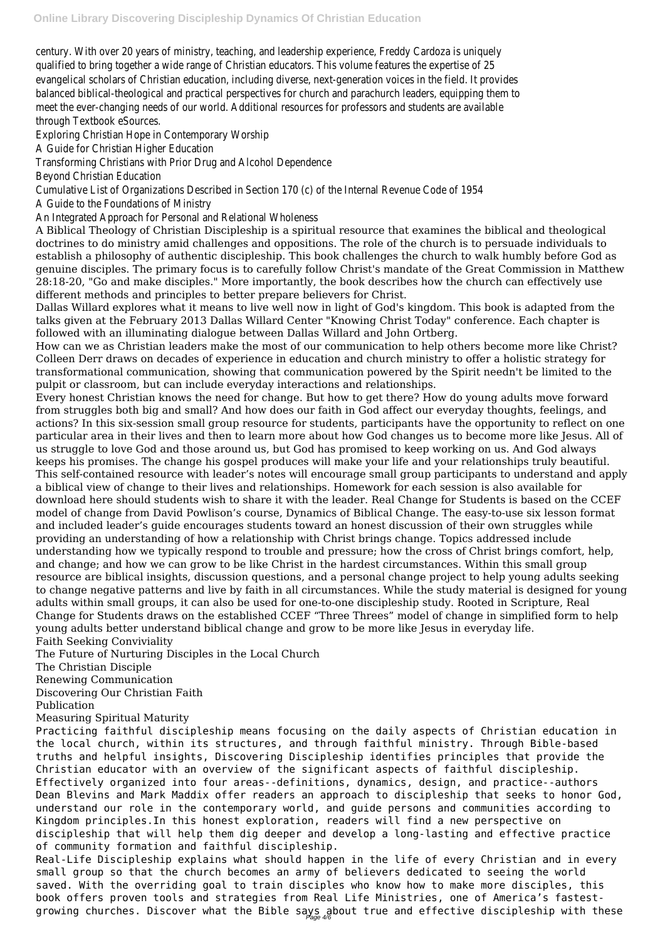century. With over 20 years of ministry, teaching, and leadership experience, Freddy Cardoza is uniquely qualified to bring together a wide range of Christian educators. This volume features the expertise of 25 evangelical scholars of Christian education, including diverse, next-generation voices in the field. It provides balanced biblical-theological and practical perspectives for church and parachurch leaders, equipping them to meet the ever-changing needs of our world. Additional resources for professors and students are available through Textbook eSources.

Exploring Christian Hope in Contemporary Worship

A Guide for Christian Higher Education

Transforming Christians with Prior Drug and Alcohol Dependence

Beyond Christian Education

Cumulative List of Organizations Described in Section 170 (c) of the Internal Revenue Code of 1954 A Guide to the Foundations of Ministry

An Integrated Approach for Personal and Relational Wholeness

A Biblical Theology of Christian Discipleship is a spiritual resource that examines the biblical and theological doctrines to do ministry amid challenges and oppositions. The role of the church is to persuade individuals to establish a philosophy of authentic discipleship. This book challenges the church to walk humbly before God as genuine disciples. The primary focus is to carefully follow Christ's mandate of the Great Commission in Matthew 28:18-20, "Go and make disciples." More importantly, the book describes how the church can effectively use different methods and principles to better prepare believers for Christ.

Dallas Willard explores what it means to live well now in light of God's kingdom. This book is adapted from the talks given at the February 2013 Dallas Willard Center "Knowing Christ Today" conference. Each chapter is followed with an illuminating dialogue between Dallas Willard and John Ortberg.

How can we as Christian leaders make the most of our communication to help others become more like Christ? Colleen Derr draws on decades of experience in education and church ministry to offer a holistic strategy for transformational communication, showing that communication powered by the Spirit needn't be limited to the pulpit or classroom, but can include everyday interactions and relationships.

Every honest Christian knows the need for change. But how to get there? How do young adults move forward from struggles both big and small? And how does our faith in God affect our everyday thoughts, feelings, and actions? In this six-session small group resource for students, participants have the opportunity to reflect on one particular area in their lives and then to learn more about how God changes us to become more like Jesus. All of us struggle to love God and those around us, but God has promised to keep working on us. And God always keeps his promises. The change his gospel produces will make your life and your relationships truly beautiful. This self-contained resource with leader's notes will encourage small group participants to understand and apply a biblical view of change to their lives and relationships. Homework for each session is also available for download here should students wish to share it with the leader. Real Change for Students is based on the CCEF model of change from David Powlison's course, Dynamics of Biblical Change. The easy-to-use six lesson format and included leader's guide encourages students toward an honest discussion of their own struggles while providing an understanding of how a relationship with Christ brings change. Topics addressed include understanding how we typically respond to trouble and pressure; how the cross of Christ brings comfort, help, and change; and how we can grow to be like Christ in the hardest circumstances. Within this small group resource are biblical insights, discussion questions, and a personal change project to help young adults seeking to change negative patterns and live by faith in all circumstances. While the study material is designed for young adults within small groups, it can also be used for one-to-one discipleship study. Rooted in Scripture, Real Change for Students draws on the established CCEF "Three Threes" model of change in simplified form to help young adults better understand biblical change and grow to be more like Jesus in everyday life. Faith Seeking Conviviality

The Future of Nurturing Disciples in the Local Church

The Christian Disciple

Renewing Communication

Discovering Our Christian Faith

Publication

Measuring Spiritual Maturity

Practicing faithful discipleship means focusing on the daily aspects of Christian education in the local church, within its structures, and through faithful ministry. Through Bible-based truths and helpful insights, Discovering Discipleship identifies principles that provide the Christian educator with an overview of the significant aspects of faithful discipleship. Effectively organized into four areas--definitions, dynamics, design, and practice--authors Dean Blevins and Mark Maddix offer readers an approach to discipleship that seeks to honor God, understand our role in the contemporary world, and guide persons and communities according to Kingdom principles.In this honest exploration, readers will find a new perspective on discipleship that will help them dig deeper and develop a long-lasting and effective practice of community formation and faithful discipleship. Real-Life Discipleship explains what should happen in the life of every Christian and in every small group so that the church becomes an army of believers dedicated to seeing the world saved. With the overriding goal to train disciples who know how to make more disciples, this book offers proven tools and strategies from Real Life Ministries, one of America's fastest-

growing churches. Discover what the Bible says about true and effective discipleship with these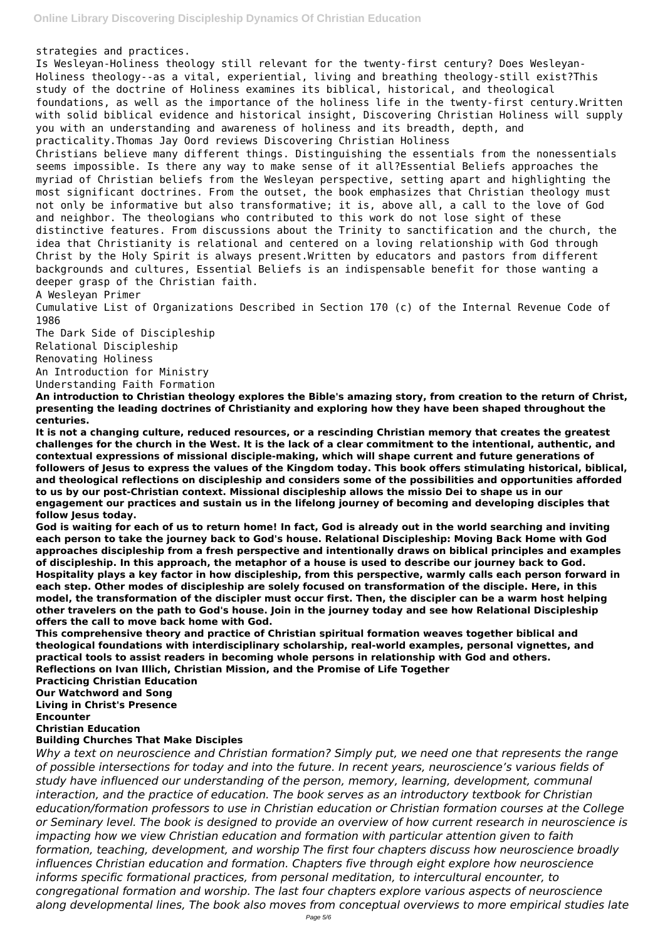strategies and practices.

Is Wesleyan-Holiness theology still relevant for the twenty-first century? Does Wesleyan-Holiness theology--as a vital, experiential, living and breathing theology-still exist?This study of the doctrine of Holiness examines its biblical, historical, and theological foundations, as well as the importance of the holiness life in the twenty-first century.Written with solid biblical evidence and historical insight, Discovering Christian Holiness will supply you with an understanding and awareness of holiness and its breadth, depth, and practicality.Thomas Jay Oord reviews Discovering Christian Holiness Christians believe many different things. Distinguishing the essentials from the nonessentials seems impossible. Is there any way to make sense of it all?Essential Beliefs approaches the myriad of Christian beliefs from the Wesleyan perspective, setting apart and highlighting the most significant doctrines. From the outset, the book emphasizes that Christian theology must not only be informative but also transformative; it is, above all, a call to the love of God and neighbor. The theologians who contributed to this work do not lose sight of these distinctive features. From discussions about the Trinity to sanctification and the church, the idea that Christianity is relational and centered on a loving relationship with God through Christ by the Holy Spirit is always present.Written by educators and pastors from different backgrounds and cultures, Essential Beliefs is an indispensable benefit for those wanting a deeper grasp of the Christian faith.

A Wesleyan Primer

Cumulative List of Organizations Described in Section 170 (c) of the Internal Revenue Code of 1986

The Dark Side of Discipleship

Relational Discipleship

Renovating Holiness

An Introduction for Ministry

Understanding Faith Formation

**An introduction to Christian theology explores the Bible's amazing story, from creation to the return of Christ, presenting the leading doctrines of Christianity and exploring how they have been shaped throughout the centuries.**

**It is not a changing culture, reduced resources, or a rescinding Christian memory that creates the greatest challenges for the church in the West. It is the lack of a clear commitment to the intentional, authentic, and contextual expressions of missional disciple-making, which will shape current and future generations of followers of Jesus to express the values of the Kingdom today. This book offers stimulating historical, biblical, and theological reflections on discipleship and considers some of the possibilities and opportunities afforded to us by our post-Christian context. Missional discipleship allows the missio Dei to shape us in our engagement our practices and sustain us in the lifelong journey of becoming and developing disciples that follow Jesus today.**

**God is waiting for each of us to return home! In fact, God is already out in the world searching and inviting each person to take the journey back to God's house. Relational Discipleship: Moving Back Home with God approaches discipleship from a fresh perspective and intentionally draws on biblical principles and examples of discipleship. In this approach, the metaphor of a house is used to describe our journey back to God. Hospitality plays a key factor in how discipleship, from this perspective, warmly calls each person forward in each step. Other modes of discipleship are solely focused on transformation of the disciple. Here, in this model, the transformation of the discipler must occur first. Then, the discipler can be a warm host helping other travelers on the path to God's house. Join in the journey today and see how Relational Discipleship offers the call to move back home with God.**

**This comprehensive theory and practice of Christian spiritual formation weaves together biblical and theological foundations with interdisciplinary scholarship, real-world examples, personal vignettes, and practical tools to assist readers in becoming whole persons in relationship with God and others. Reflections on Ivan Illich, Christian Mission, and the Promise of Life Together Practicing Christian Education Our Watchword and Song Living in Christ's Presence**

## **Encounter Christian Education Building Churches That Make Disciples**

*Why a text on neuroscience and Christian formation? Simply put, we need one that represents the range of possible intersections for today and into the future. In recent years, neuroscience's various fields of study have influenced our understanding of the person, memory, learning, development, communal interaction, and the practice of education. The book serves as an introductory textbook for Christian education/formation professors to use in Christian education or Christian formation courses at the College or Seminary level. The book is designed to provide an overview of how current research in neuroscience is impacting how we view Christian education and formation with particular attention given to faith formation, teaching, development, and worship The first four chapters discuss how neuroscience broadly influences Christian education and formation. Chapters five through eight explore how neuroscience informs specific formational practices, from personal meditation, to intercultural encounter, to congregational formation and worship. The last four chapters explore various aspects of neuroscience along developmental lines, The book also moves from conceptual overviews to more empirical studies late*